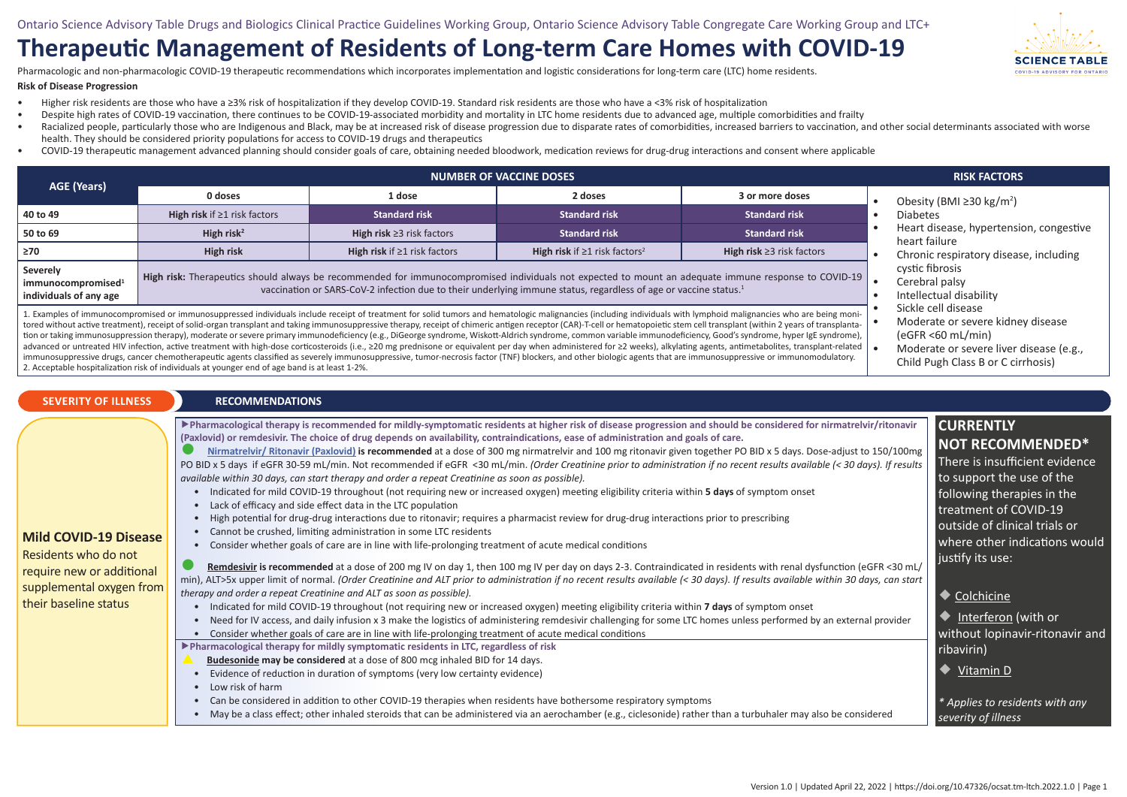## **Therapeutic Management of Residents of Long-term Care Homes with COVID-19**

Pharmacologic and non-pharmacologic COVID-19 therapeutic recommendations which incorporates implementation and logistic considerations for long-term care (LTC) home residents.

## **Risk of Disease Progression**

- Higher risk residents are those who have a ≥3% risk of hospitalization if they develop COVID-19. Standard risk residents are those who have a <3% risk of hospitalization
- Despite high rates of COVID-19 vaccination, there continues to be COVID-19-associated morbidity and mortality in LTC home residents due to advanced age, multiple comorbidities and frailty
- Racialized people, particularly those who are Indigenous and Black, may be at increased risk of disease progression due to disparate rates of comorbidities, increased barriers to vaccination, and other social determinants health. They should be considered priority populations for access to COVID-19 drugs and therapeutics
- COVID-19 therapeutic management advanced planning should consider goals of care, obtaining needed bloodwork, medication reviews for drug-drug interactions and consent where applicable

| AGE (Years)                                                                                                                                                                                                                                                                                                                                                                                                                                                                                                                                                                                                                                                                                                                                                                                                                                                                                                                                                                                                                                                                                                                                                                                                                       | <b>NUMBER OF VACCINE DOSES</b>                                                                                                                                    |                                                                                                                                                                                                                                                                                      |                                                 |                                 | <b>RISK FACTORS</b>                                                                                                   |  |  |
|-----------------------------------------------------------------------------------------------------------------------------------------------------------------------------------------------------------------------------------------------------------------------------------------------------------------------------------------------------------------------------------------------------------------------------------------------------------------------------------------------------------------------------------------------------------------------------------------------------------------------------------------------------------------------------------------------------------------------------------------------------------------------------------------------------------------------------------------------------------------------------------------------------------------------------------------------------------------------------------------------------------------------------------------------------------------------------------------------------------------------------------------------------------------------------------------------------------------------------------|-------------------------------------------------------------------------------------------------------------------------------------------------------------------|--------------------------------------------------------------------------------------------------------------------------------------------------------------------------------------------------------------------------------------------------------------------------------------|-------------------------------------------------|---------------------------------|-----------------------------------------------------------------------------------------------------------------------|--|--|
|                                                                                                                                                                                                                                                                                                                                                                                                                                                                                                                                                                                                                                                                                                                                                                                                                                                                                                                                                                                                                                                                                                                                                                                                                                   | 0 doses                                                                                                                                                           | 1 dose                                                                                                                                                                                                                                                                               | 2 doses                                         | 3 or more doses                 | Obesity (BMI $\geq$ 30 kg/m <sup>2</sup> )                                                                            |  |  |
| 40 to 49                                                                                                                                                                                                                                                                                                                                                                                                                                                                                                                                                                                                                                                                                                                                                                                                                                                                                                                                                                                                                                                                                                                                                                                                                          | High risk if $\geq 1$ risk factors                                                                                                                                | <b>Standard risk</b>                                                                                                                                                                                                                                                                 | <b>Standard risk</b>                            | <b>Standard risk</b>            | <b>Diabetes</b><br>Heart disease, hypertension, congestive<br>heart failure<br>Chronic respiratory disease, including |  |  |
| 50 to 69                                                                                                                                                                                                                                                                                                                                                                                                                                                                                                                                                                                                                                                                                                                                                                                                                                                                                                                                                                                                                                                                                                                                                                                                                          | High risk <sup>2</sup>                                                                                                                                            | High risk $\geq$ 3 risk factors                                                                                                                                                                                                                                                      | <b>Standard risk</b>                            | <b>Standard risk</b>            |                                                                                                                       |  |  |
| 270⊧                                                                                                                                                                                                                                                                                                                                                                                                                                                                                                                                                                                                                                                                                                                                                                                                                                                                                                                                                                                                                                                                                                                                                                                                                              | High risk                                                                                                                                                         | High risk if $\geq 1$ risk factors                                                                                                                                                                                                                                                   | High risk if $\geq 1$ risk factors <sup>2</sup> | High risk $\geq$ 3 risk factors |                                                                                                                       |  |  |
| Severely<br>immunocompromised <sup>1</sup><br>individuals of any age                                                                                                                                                                                                                                                                                                                                                                                                                                                                                                                                                                                                                                                                                                                                                                                                                                                                                                                                                                                                                                                                                                                                                              |                                                                                                                                                                   | High risk: Therapeutics should always be recommended for immunocompromised individuals not expected to mount an adequate immune response to COVID-19<br>vaccination or SARS-CoV-2 infection due to their underlying immune status, regardless of age or vaccine status. <sup>1</sup> |                                                 |                                 | cystic fibrosis<br>Cerebral palsy<br>Intellectual disability                                                          |  |  |
| L. Examples of immunocompromised or immunosuppressed individuals include receipt of treatment for solid tumors and hematologic malignancies (including individuals with lymphoid malignancies who are being moni-<br>tored without active treatment), receipt of solid-organ transplant and taking immunosuppressive therapy, receipt of chimeric antigen receptor (CAR)-T-cell or hematopoietic stem cell transplant (within 2 years of transplant<br>tion or taking immunosuppression therapy), moderate or severe primary immunodeficiency (e.g., DiGeorge syndrome, Wiskott-Aldrich syndrome, common variable immunodeficiency, Good's syndrome, hyper IgE syndrome),<br>advanced or untreated HIV infection, active treatment with high-dose corticosteroids (i.e., ≥20 mg prednisone or equivalent per day when administered for ≥2 weeks), alkylating agents, antimetabolites, transplant-related  <br>immunosuppressive drugs, cancer chemotherapeutic agents classified as severely immunosuppressive, tumor-necrosis factor (TNF) blockers, and other biologic agents that are immunosuppressive or immunomodulatory.<br>2. Acceptable hospitalization risk of individuals at younger end of age band is at least 1-2%. | Sickle cell disease<br>Moderate or severe kidney disease<br>$(eGFR < 60$ mL/min)<br>Moderate or severe liver disease (e.g.,<br>Child Pugh Class B or C cirrhosis) |                                                                                                                                                                                                                                                                                      |                                                 |                                 |                                                                                                                       |  |  |

## **SEVERITY OF ILLNESS RECOMMENDATIONS**

▶**Pharmacological therapy is recommended for mildly-symptomatic residents at higher risk of disease progression and should be considered for nirmatrelvir/ritonavir (Pa[xlo](http://🟢 )[vid\) or remdesivir. The choice of drug depends on availability, co](https://covid19-sciencetable.ca/sciencebrief/nirmatrelvir-ritonavir-paxlovid-what-prescribers-and-pharmacists-need-to-know-2-0/)ntraindications, ease of administration and goals of care. CURRENTLY NOT RECOMMENDED\***

● **Nirmatrelvir/ Ritonavir (Paxlovid) is recommended** at a dose of 300 mg nirmatrelvir and 100 mg ritonavir given together PO BID x 5 days. Dose-adjust to 150/100mg PO BID x 5 days if eGFR 30-59 mL/min. Not recommended if eGFR <30 mL/min. *(Order Creatinine prior to administration if no recent results available (< 30 days). If results available within 30 days, can start therapy and order a repeat Creatinine as soon as possible).* There is insufficient evidence to support the use of the

- Indicated for mild COVID-19 throughout (not requiring new or increased oxygen) meeting eligibility criteria within **5 days** of symptom onset
- Lack of efficacy and side effect data in the LTC population
- High potential for drug-drug interactions due to ritonavir; requires a pharmacist review for drug-drug interactions prior to prescribing
- Cannot be crushed, limiting administration in some LTC residents
	- Consider whether goals of care are in line with life-prolonging treatment of acute medical conditions

Residents who do not require new or additional supplemental oxygen from their baseline status

**Mild COVID-19 Disease**

|  | Remdesivir is recommended at a dose of 200 mg IV on day 1, then 100 mg IV per day on days 2-3. Contraindicated in residents with renal dysfunction (eGFR <30 mL/                 |
|--|----------------------------------------------------------------------------------------------------------------------------------------------------------------------------------|
|  | min), ALT>5x upper limit of normal. (Order Creatinine and ALT prior to administration if no recent results available (< 30 days). If results available within 30 days, can start |
|  | therapy and order a repeat Creatinine and ALT as soon as possible).                                                                                                              |

- Indicated for mild COVID-19 throughout (not requiring new or increased oxygen) meeting eligibility criteria within **7 days** of symptom onset
- Need for IV access, and daily infusion x 3 make the logistics of administering remdesivir challenging for some LTC homes unless performed by an external provider
- Consider whether goals of care are in line with life-prolonging treatment of acute medical conditions

▶**Pharmacological therapy for mildly symptomatic residents in LTC, regardless of risk** 

- **Budesonide may be considered** at a dose of 800 mcg inhaled BID for 14 days.
- Evidence of reduction in duration of symptoms (very low certainty evidence)
- Low risk of harm

• Can be considered in addition to other COVID-19 therapies when residents have bothersome respiratory symptoms

• May be a class effect; other inhaled steroids that can be administered via an aerochamber (e.g., ciclesonide) rather than a turbuhaler may also be considered

following therapies in the treatment of COVID-19 outside of clinical trials or where other indications would

justify its use:

◆ Colchicine

*severity of illness*

ribavirin) ◆ Vitamin D

◆ Interferon (with or

without lopinavir-ritonavir and

*\* Applies to residents with any*